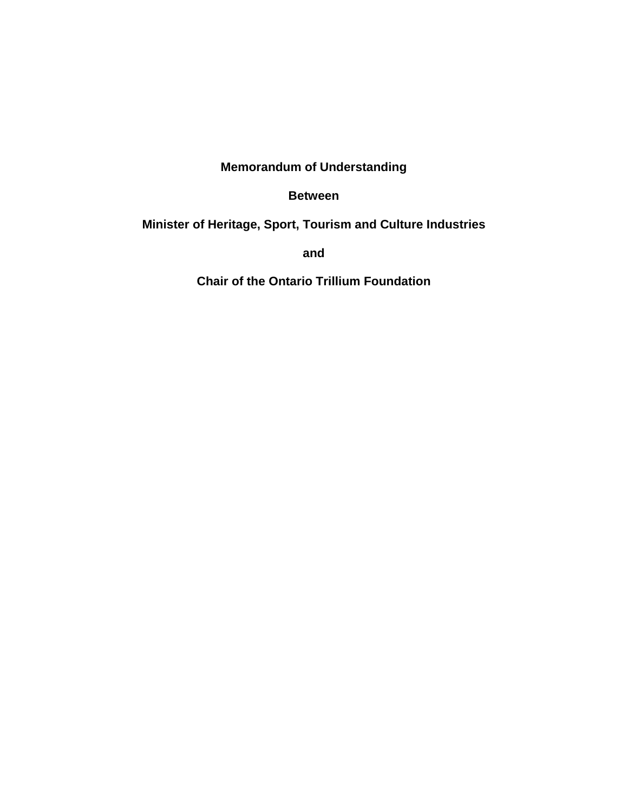# **Memorandum of Understanding**

#### **Between**

#### **Minister of Heritage, Sport, Tourism and Culture Industries**

**and**

**Chair of the Ontario Trillium Foundation**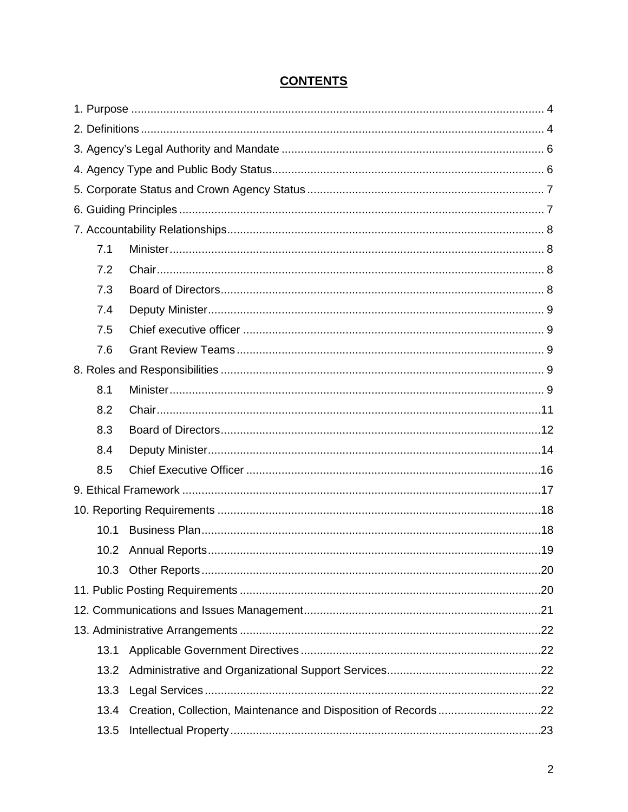# **CONTENTS**

| 7.1  |  |  |  |  |  |
|------|--|--|--|--|--|
| 7.2  |  |  |  |  |  |
| 7.3  |  |  |  |  |  |
| 7.4  |  |  |  |  |  |
| 7.5  |  |  |  |  |  |
| 7.6  |  |  |  |  |  |
|      |  |  |  |  |  |
| 8.1  |  |  |  |  |  |
| 8.2  |  |  |  |  |  |
| 8.3  |  |  |  |  |  |
| 8.4  |  |  |  |  |  |
| 8.5  |  |  |  |  |  |
|      |  |  |  |  |  |
|      |  |  |  |  |  |
| 10.1 |  |  |  |  |  |
|      |  |  |  |  |  |
|      |  |  |  |  |  |
|      |  |  |  |  |  |
|      |  |  |  |  |  |
|      |  |  |  |  |  |
| 13.1 |  |  |  |  |  |
| 13.2 |  |  |  |  |  |
| 13.3 |  |  |  |  |  |
| 13.4 |  |  |  |  |  |
| 13.5 |  |  |  |  |  |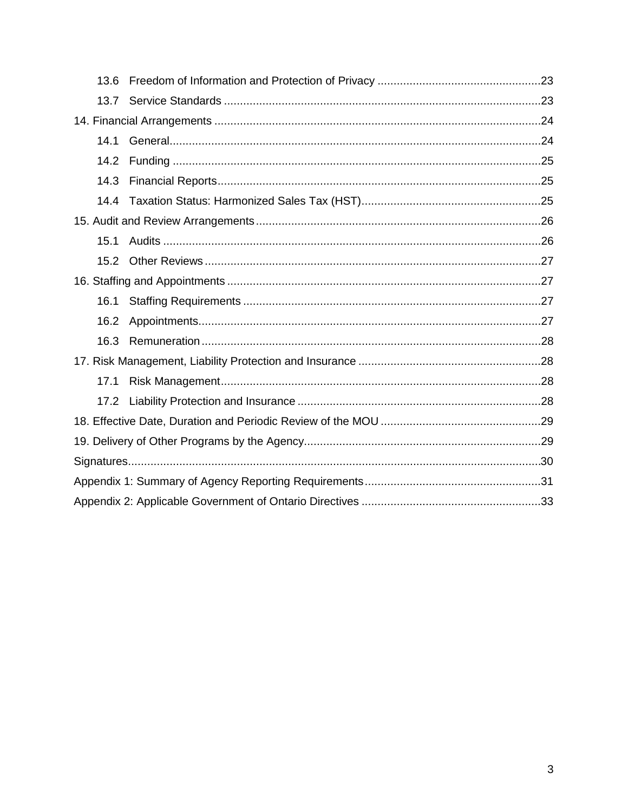| 13.6 |  |  |  |
|------|--|--|--|
| 13.7 |  |  |  |
|      |  |  |  |
| 14.1 |  |  |  |
| 14.2 |  |  |  |
| 14.3 |  |  |  |
| 14.4 |  |  |  |
|      |  |  |  |
| 15.1 |  |  |  |
| 15.2 |  |  |  |
|      |  |  |  |
| 16.1 |  |  |  |
| 16.2 |  |  |  |
| 16.3 |  |  |  |
|      |  |  |  |
| 17.1 |  |  |  |
|      |  |  |  |
|      |  |  |  |
|      |  |  |  |
|      |  |  |  |
|      |  |  |  |
|      |  |  |  |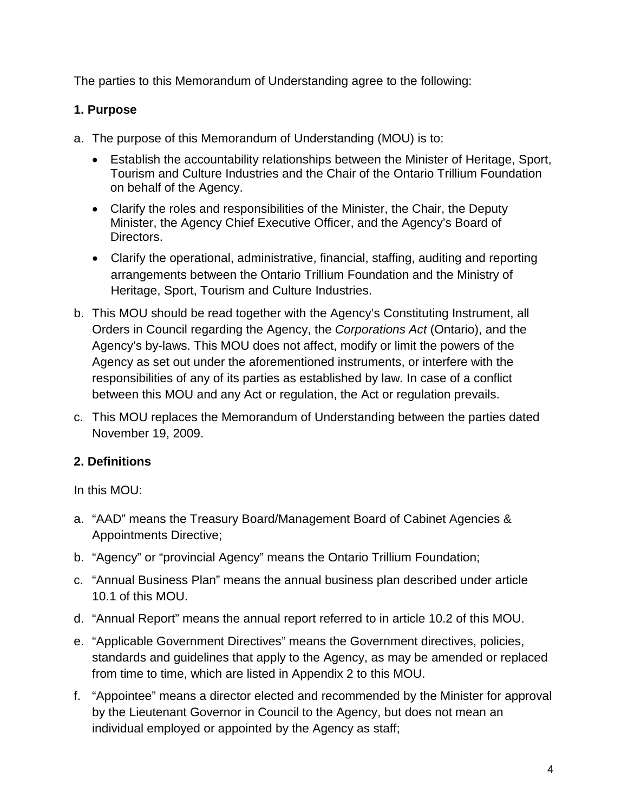The parties to this Memorandum of Understanding agree to the following:

### <span id="page-3-0"></span>**1. Purpose**

- a. The purpose of this Memorandum of Understanding (MOU) is to:
	- Establish the accountability relationships between the Minister of Heritage, Sport, Tourism and Culture Industries and the Chair of the Ontario Trillium Foundation on behalf of the Agency.
	- Clarify the roles and responsibilities of the Minister, the Chair, the Deputy Minister, the Agency Chief Executive Officer, and the Agency's Board of Directors.
	- Clarify the operational, administrative, financial, staffing, auditing and reporting arrangements between the Ontario Trillium Foundation and the Ministry of Heritage, Sport, Tourism and Culture Industries.
- b. This MOU should be read together with the Agency's Constituting Instrument, all Orders in Council regarding the Agency, the *Corporations Act* (Ontario), and the Agency's by-laws. This MOU does not affect, modify or limit the powers of the Agency as set out under the aforementioned instruments, or interfere with the responsibilities of any of its parties as established by law. In case of a conflict between this MOU and any Act or regulation, the Act or regulation prevails.
- c. This MOU replaces the Memorandum of Understanding between the parties dated November 19, 2009.

# <span id="page-3-1"></span>**2. Definitions**

In this MOU:

- a. "AAD" means the Treasury Board/Management Board of Cabinet Agencies & Appointments Directive;
- b. "Agency" or "provincial Agency" means the Ontario Trillium Foundation;
- c. "Annual Business Plan" means the annual business plan described under article 10.1 of this MOU.
- d. "Annual Report" means the annual report referred to in article 10.2 of this MOU.
- e. "Applicable Government Directives" means the Government directives, policies, standards and guidelines that apply to the Agency, as may be amended or replaced from time to time, which are listed in Appendix 2 to this MOU.
- f. "Appointee" means a director elected and recommended by the Minister for approval by the Lieutenant Governor in Council to the Agency, but does not mean an individual employed or appointed by the Agency as staff;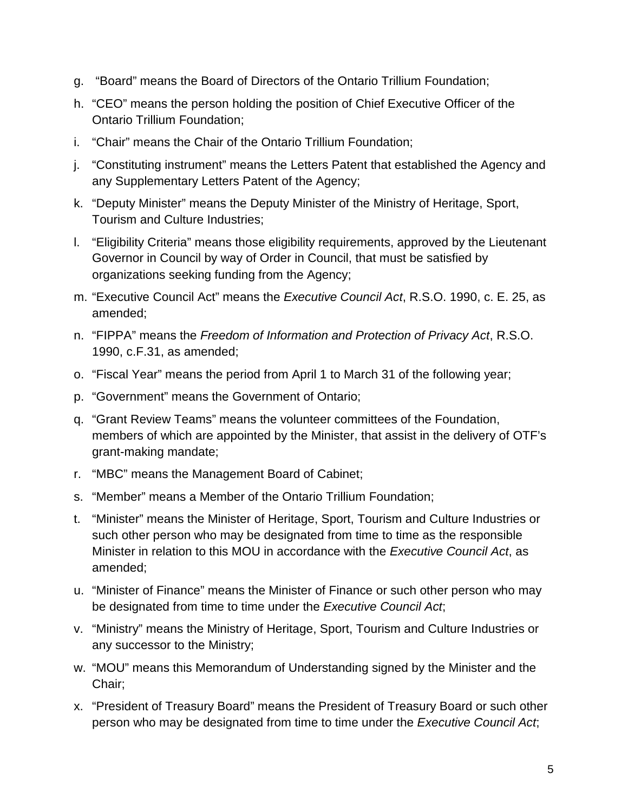- g. "Board" means the Board of Directors of the Ontario Trillium Foundation;
- h. "CEO" means the person holding the position of Chief Executive Officer of the Ontario Trillium Foundation;
- i. "Chair" means the Chair of the Ontario Trillium Foundation;
- j. "Constituting instrument" means the Letters Patent that established the Agency and any Supplementary Letters Patent of the Agency;
- k. "Deputy Minister" means the Deputy Minister of the Ministry of Heritage, Sport, Tourism and Culture Industries;
- l. "Eligibility Criteria" means those eligibility requirements, approved by the Lieutenant Governor in Council by way of Order in Council, that must be satisfied by organizations seeking funding from the Agency;
- m. "Executive Council Act" means the *Executive Council Act*, R.S.O. 1990, c. E. 25, as amended;
- n. "FIPPA" means the *Freedom of Information and Protection of Privacy Act*, R.S.O. 1990, c.F.31, as amended;
- o. "Fiscal Year" means the period from April 1 to March 31 of the following year;
- p. "Government" means the Government of Ontario;
- q. "Grant Review Teams" means the volunteer committees of the Foundation, members of which are appointed by the Minister, that assist in the delivery of OTF's grant-making mandate;
- r. "MBC" means the Management Board of Cabinet;
- s. "Member" means a Member of the Ontario Trillium Foundation;
- t. "Minister" means the Minister of Heritage, Sport, Tourism and Culture Industries or such other person who may be designated from time to time as the responsible Minister in relation to this MOU in accordance with the *Executive Council Act*, as amended;
- u. "Minister of Finance" means the Minister of Finance or such other person who may be designated from time to time under the *Executive Council Act*;
- v. "Ministry" means the Ministry of Heritage, Sport, Tourism and Culture Industries or any successor to the Ministry;
- w. "MOU" means this Memorandum of Understanding signed by the Minister and the Chair;
- x. "President of Treasury Board" means the President of Treasury Board or such other person who may be designated from time to time under the *Executive Council Act*;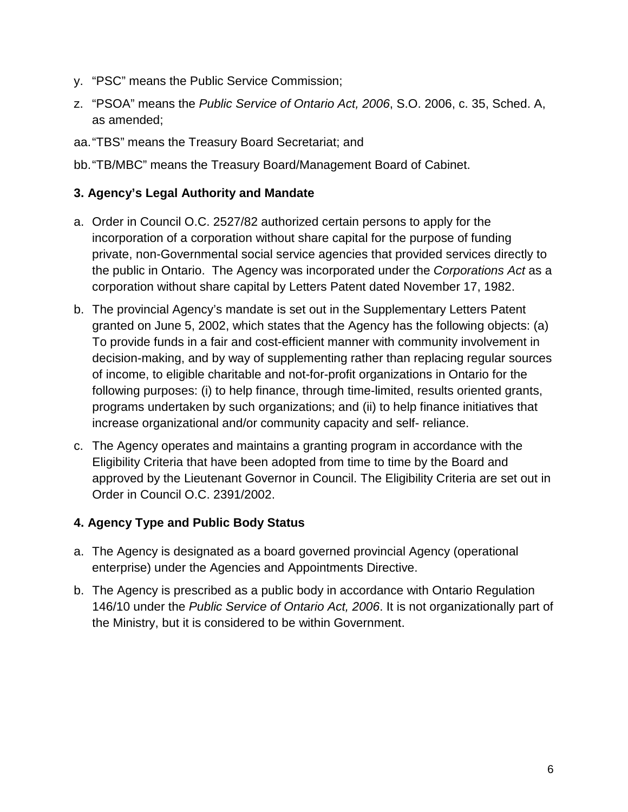- y. "PSC" means the Public Service Commission;
- z. "PSOA" means the *Public Service of Ontario Act, 2006*, S.O. 2006, c. 35, Sched. A, as amended;
- aa."TBS" means the Treasury Board Secretariat; and
- bb."TB/MBC" means the Treasury Board/Management Board of Cabinet.

#### <span id="page-5-0"></span>**3. Agency's Legal Authority and Mandate**

- a. Order in Council O.C. 2527/82 authorized certain persons to apply for the incorporation of a corporation without share capital for the purpose of funding private, non-Governmental social service agencies that provided services directly to the public in Ontario. The Agency was incorporated under the *Corporations Act* as a corporation without share capital by Letters Patent dated November 17, 1982.
- b. The provincial Agency's mandate is set out in the Supplementary Letters Patent granted on June 5, 2002, which states that the Agency has the following objects: (a) To provide funds in a fair and cost-efficient manner with community involvement in decision-making, and by way of supplementing rather than replacing regular sources of income, to eligible charitable and not-for-profit organizations in Ontario for the following purposes: (i) to help finance, through time-limited, results oriented grants, programs undertaken by such organizations; and (ii) to help finance initiatives that increase organizational and/or community capacity and self- reliance.
- c. The Agency operates and maintains a granting program in accordance with the Eligibility Criteria that have been adopted from time to time by the Board and approved by the Lieutenant Governor in Council. The Eligibility Criteria are set out in Order in Council O.C. 2391/2002.

#### <span id="page-5-1"></span>**4. Agency Type and Public Body Status**

- a. The Agency is designated as a board governed provincial Agency (operational enterprise) under the Agencies and Appointments Directive.
- b. The Agency is prescribed as a public body in accordance with Ontario Regulation 146/10 under the *Public Service of Ontario Act, 2006*. It is not organizationally part of the Ministry, but it is considered to be within Government.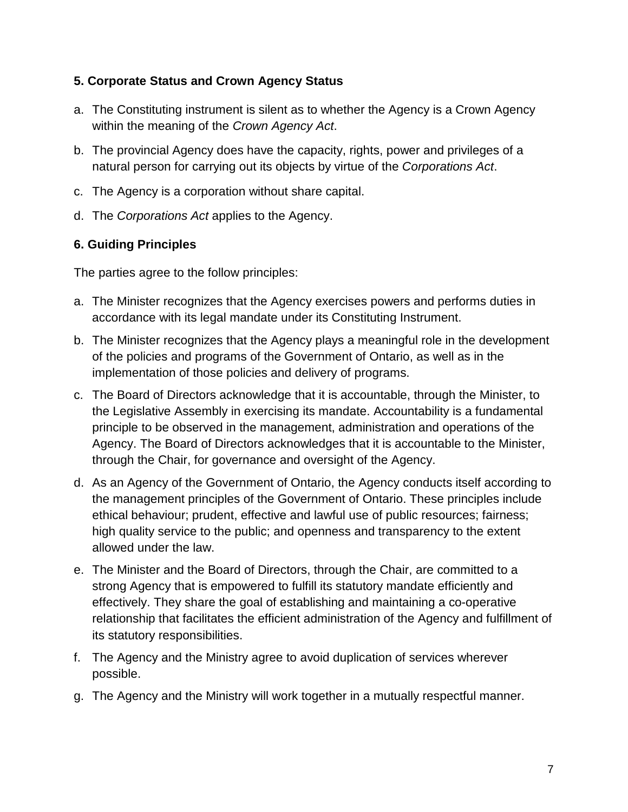### <span id="page-6-0"></span>**5. Corporate Status and Crown Agency Status**

- a. The Constituting instrument is silent as to whether the Agency is a Crown Agency within the meaning of the *Crown Agency Act*.
- b. The provincial Agency does have the capacity, rights, power and privileges of a natural person for carrying out its objects by virtue of the *Corporations Act*.
- c. The Agency is a corporation without share capital.
- d. The *Corporations Act* applies to the Agency.

#### <span id="page-6-1"></span>**6. Guiding Principles**

The parties agree to the follow principles:

- a. The Minister recognizes that the Agency exercises powers and performs duties in accordance with its legal mandate under its Constituting Instrument.
- b. The Minister recognizes that the Agency plays a meaningful role in the development of the policies and programs of the Government of Ontario, as well as in the implementation of those policies and delivery of programs.
- c. The Board of Directors acknowledge that it is accountable, through the Minister, to the Legislative Assembly in exercising its mandate. Accountability is a fundamental principle to be observed in the management, administration and operations of the Agency. The Board of Directors acknowledges that it is accountable to the Minister, through the Chair, for governance and oversight of the Agency.
- d. As an Agency of the Government of Ontario, the Agency conducts itself according to the management principles of the Government of Ontario. These principles include ethical behaviour; prudent, effective and lawful use of public resources; fairness; high quality service to the public; and openness and transparency to the extent allowed under the law.
- e. The Minister and the Board of Directors, through the Chair, are committed to a strong Agency that is empowered to fulfill its statutory mandate efficiently and effectively. They share the goal of establishing and maintaining a co-operative relationship that facilitates the efficient administration of the Agency and fulfillment of its statutory responsibilities.
- f. The Agency and the Ministry agree to avoid duplication of services wherever possible.
- g. The Agency and the Ministry will work together in a mutually respectful manner.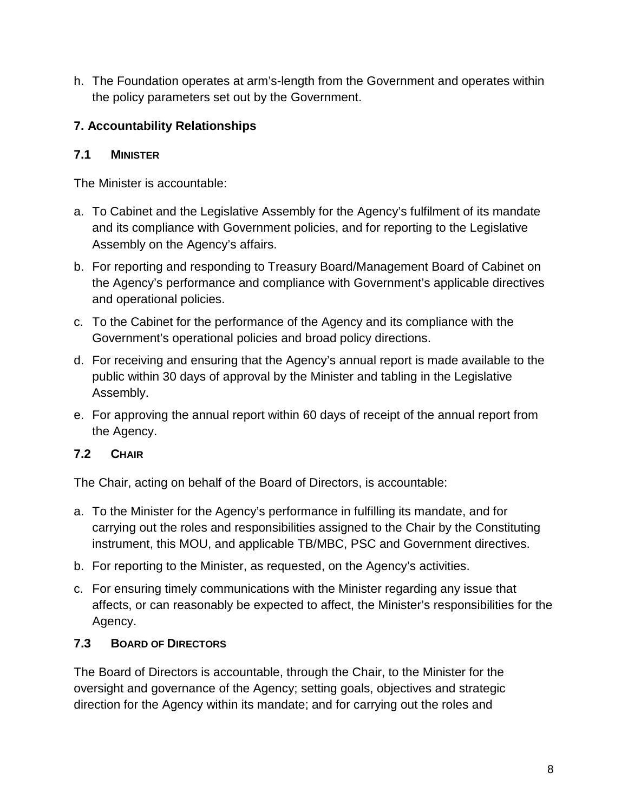h. The Foundation operates at arm's-length from the Government and operates within the policy parameters set out by the Government.

# <span id="page-7-0"></span>**7. Accountability Relationships**

### <span id="page-7-1"></span>**7.1 MINISTER**

The Minister is accountable:

- a. To Cabinet and the Legislative Assembly for the Agency's fulfilment of its mandate and its compliance with Government policies, and for reporting to the Legislative Assembly on the Agency's affairs.
- b. For reporting and responding to Treasury Board/Management Board of Cabinet on the Agency's performance and compliance with Government's applicable directives and operational policies.
- c. To the Cabinet for the performance of the Agency and its compliance with the Government's operational policies and broad policy directions.
- d. For receiving and ensuring that the Agency's annual report is made available to the public within 30 days of approval by the Minister and tabling in the Legislative Assembly.
- e. For approving the annual report within 60 days of receipt of the annual report from the Agency.

### <span id="page-7-2"></span>**7.2 CHAIR**

The Chair, acting on behalf of the Board of Directors, is accountable:

- a. To the Minister for the Agency's performance in fulfilling its mandate, and for carrying out the roles and responsibilities assigned to the Chair by the Constituting instrument, this MOU, and applicable TB/MBC, PSC and Government directives.
- b. For reporting to the Minister, as requested, on the Agency's activities.
- c. For ensuring timely communications with the Minister regarding any issue that affects, or can reasonably be expected to affect, the Minister's responsibilities for the Agency.

### <span id="page-7-3"></span>**7.3 BOARD OF DIRECTORS**

The Board of Directors is accountable, through the Chair, to the Minister for the oversight and governance of the Agency; setting goals, objectives and strategic direction for the Agency within its mandate; and for carrying out the roles and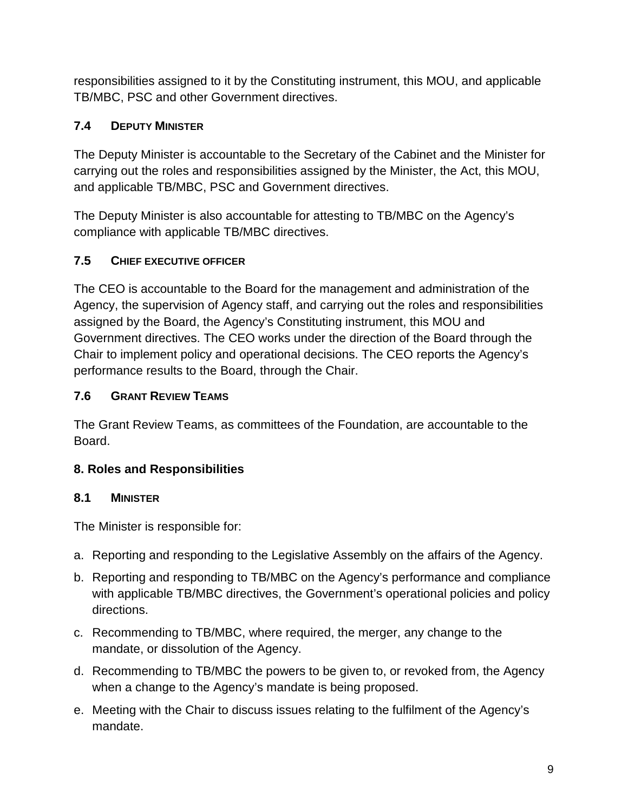responsibilities assigned to it by the Constituting instrument, this MOU, and applicable TB/MBC, PSC and other Government directives.

# <span id="page-8-0"></span>**7.4 DEPUTY MINISTER**

The Deputy Minister is accountable to the Secretary of the Cabinet and the Minister for carrying out the roles and responsibilities assigned by the Minister, the Act, this MOU, and applicable TB/MBC, PSC and Government directives.

The Deputy Minister is also accountable for attesting to TB/MBC on the Agency's compliance with applicable TB/MBC directives.

### <span id="page-8-1"></span>**7.5 CHIEF EXECUTIVE OFFICER**

The CEO is accountable to the Board for the management and administration of the Agency, the supervision of Agency staff, and carrying out the roles and responsibilities assigned by the Board, the Agency's Constituting instrument, this MOU and Government directives. The CEO works under the direction of the Board through the Chair to implement policy and operational decisions. The CEO reports the Agency's performance results to the Board, through the Chair.

### <span id="page-8-2"></span>**7.6 GRANT REVIEW TEAMS**

The Grant Review Teams, as committees of the Foundation, are accountable to the Board.

# <span id="page-8-3"></span>**8. Roles and Responsibilities**

### <span id="page-8-4"></span>**8.1 MINISTER**

The Minister is responsible for:

- a. Reporting and responding to the Legislative Assembly on the affairs of the Agency.
- b. Reporting and responding to TB/MBC on the Agency's performance and compliance with applicable TB/MBC directives, the Government's operational policies and policy directions.
- c. Recommending to TB/MBC, where required, the merger, any change to the mandate, or dissolution of the Agency.
- d. Recommending to TB/MBC the powers to be given to, or revoked from, the Agency when a change to the Agency's mandate is being proposed.
- e. Meeting with the Chair to discuss issues relating to the fulfilment of the Agency's mandate.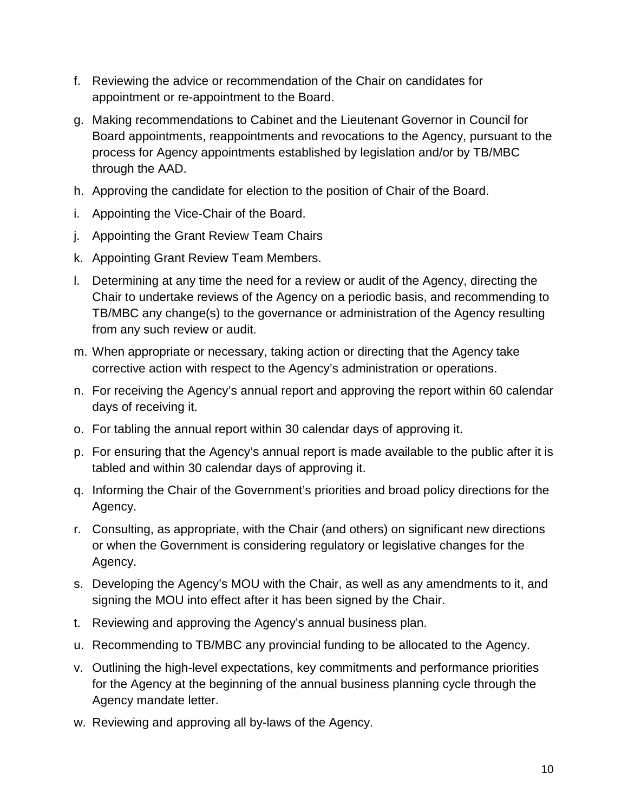- f. Reviewing the advice or recommendation of the Chair on candidates for appointment or re-appointment to the Board.
- g. Making recommendations to Cabinet and the Lieutenant Governor in Council for Board appointments, reappointments and revocations to the Agency, pursuant to the process for Agency appointments established by legislation and/or by TB/MBC through the AAD.
- h. Approving the candidate for election to the position of Chair of the Board.
- i. Appointing the Vice-Chair of the Board.
- j. Appointing the Grant Review Team Chairs
- k. Appointing Grant Review Team Members.
- l. Determining at any time the need for a review or audit of the Agency, directing the Chair to undertake reviews of the Agency on a periodic basis, and recommending to TB/MBC any change(s) to the governance or administration of the Agency resulting from any such review or audit.
- m. When appropriate or necessary, taking action or directing that the Agency take corrective action with respect to the Agency's administration or operations.
- n. For receiving the Agency's annual report and approving the report within 60 calendar days of receiving it.
- o. For tabling the annual report within 30 calendar days of approving it.
- p. For ensuring that the Agency's annual report is made available to the public after it is tabled and within 30 calendar days of approving it.
- q. Informing the Chair of the Government's priorities and broad policy directions for the Agency.
- r. Consulting, as appropriate, with the Chair (and others) on significant new directions or when the Government is considering regulatory or legislative changes for the Agency.
- s. Developing the Agency's MOU with the Chair, as well as any amendments to it, and signing the MOU into effect after it has been signed by the Chair.
- t. Reviewing and approving the Agency's annual business plan.
- u. Recommending to TB/MBC any provincial funding to be allocated to the Agency.
- v. Outlining the high-level expectations, key commitments and performance priorities for the Agency at the beginning of the annual business planning cycle through the Agency mandate letter.
- w. Reviewing and approving all by-laws of the Agency.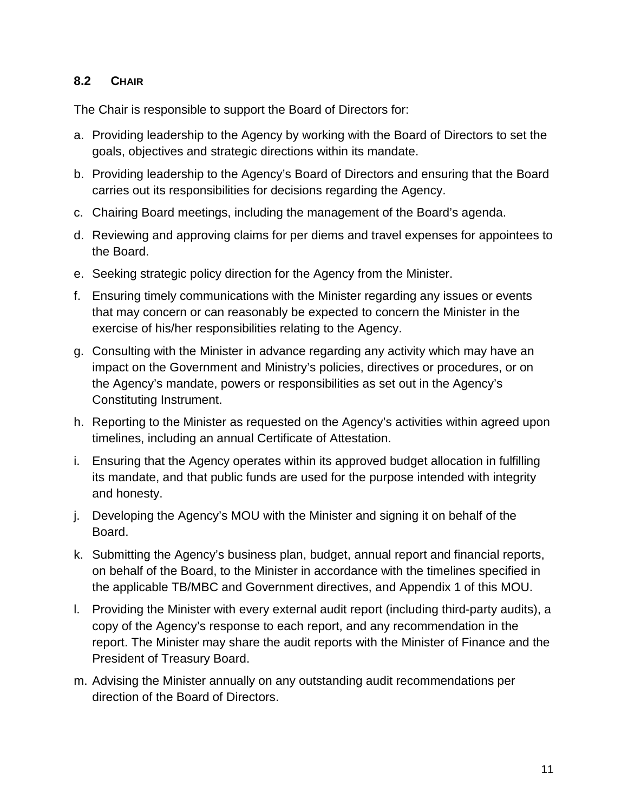#### <span id="page-10-0"></span>**8.2 CHAIR**

The Chair is responsible to support the Board of Directors for:

- a. Providing leadership to the Agency by working with the Board of Directors to set the goals, objectives and strategic directions within its mandate.
- b. Providing leadership to the Agency's Board of Directors and ensuring that the Board carries out its responsibilities for decisions regarding the Agency.
- c. Chairing Board meetings, including the management of the Board's agenda.
- d. Reviewing and approving claims for per diems and travel expenses for appointees to the Board.
- e. Seeking strategic policy direction for the Agency from the Minister.
- f. Ensuring timely communications with the Minister regarding any issues or events that may concern or can reasonably be expected to concern the Minister in the exercise of his/her responsibilities relating to the Agency.
- g. Consulting with the Minister in advance regarding any activity which may have an impact on the Government and Ministry's policies, directives or procedures, or on the Agency's mandate, powers or responsibilities as set out in the Agency's Constituting Instrument.
- h. Reporting to the Minister as requested on the Agency's activities within agreed upon timelines, including an annual Certificate of Attestation.
- i. Ensuring that the Agency operates within its approved budget allocation in fulfilling its mandate, and that public funds are used for the purpose intended with integrity and honesty.
- j. Developing the Agency's MOU with the Minister and signing it on behalf of the Board.
- k. Submitting the Agency's business plan, budget, annual report and financial reports, on behalf of the Board, to the Minister in accordance with the timelines specified in the applicable TB/MBC and Government directives, and Appendix 1 of this MOU.
- l. Providing the Minister with every external audit report (including third-party audits), a copy of the Agency's response to each report, and any recommendation in the report. The Minister may share the audit reports with the Minister of Finance and the President of Treasury Board.
- m. Advising the Minister annually on any outstanding audit recommendations per direction of the Board of Directors.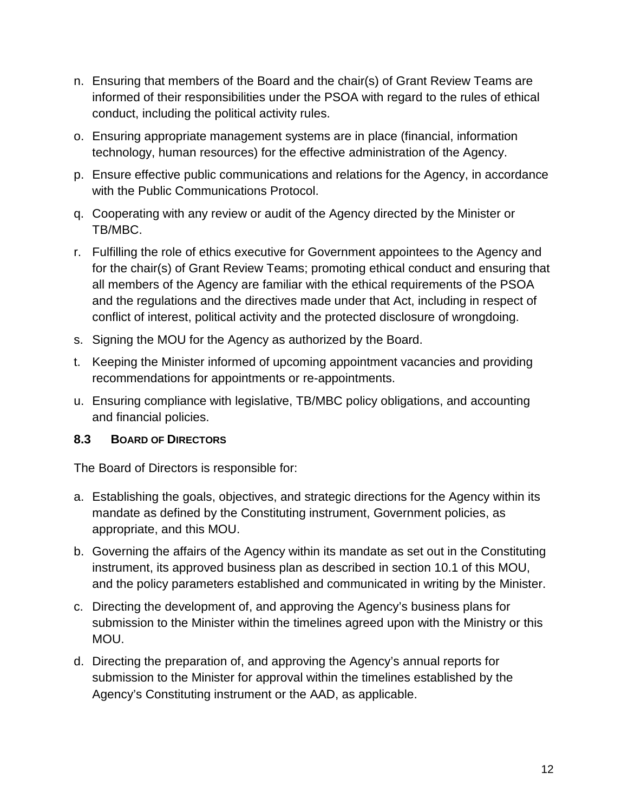- n. Ensuring that members of the Board and the chair(s) of Grant Review Teams are informed of their responsibilities under the PSOA with regard to the rules of ethical conduct, including the political activity rules.
- o. Ensuring appropriate management systems are in place (financial, information technology, human resources) for the effective administration of the Agency.
- p. Ensure effective public communications and relations for the Agency, in accordance with the Public Communications Protocol.
- q. Cooperating with any review or audit of the Agency directed by the Minister or TB/MBC.
- r. Fulfilling the role of ethics executive for Government appointees to the Agency and for the chair(s) of Grant Review Teams; promoting ethical conduct and ensuring that all members of the Agency are familiar with the ethical requirements of the PSOA and the regulations and the directives made under that Act, including in respect of conflict of interest, political activity and the protected disclosure of wrongdoing.
- s. Signing the MOU for the Agency as authorized by the Board.
- t. Keeping the Minister informed of upcoming appointment vacancies and providing recommendations for appointments or re-appointments.
- u. Ensuring compliance with legislative, TB/MBC policy obligations, and accounting and financial policies.

#### <span id="page-11-0"></span>**8.3 BOARD OF DIRECTORS**

The Board of Directors is responsible for:

- a. Establishing the goals, objectives, and strategic directions for the Agency within its mandate as defined by the Constituting instrument, Government policies, as appropriate, and this MOU.
- b. Governing the affairs of the Agency within its mandate as set out in the Constituting instrument, its approved business plan as described in section 10.1 of this MOU, and the policy parameters established and communicated in writing by the Minister.
- c. Directing the development of, and approving the Agency's business plans for submission to the Minister within the timelines agreed upon with the Ministry or this MOU.
- d. Directing the preparation of, and approving the Agency's annual reports for submission to the Minister for approval within the timelines established by the Agency's Constituting instrument or the AAD, as applicable.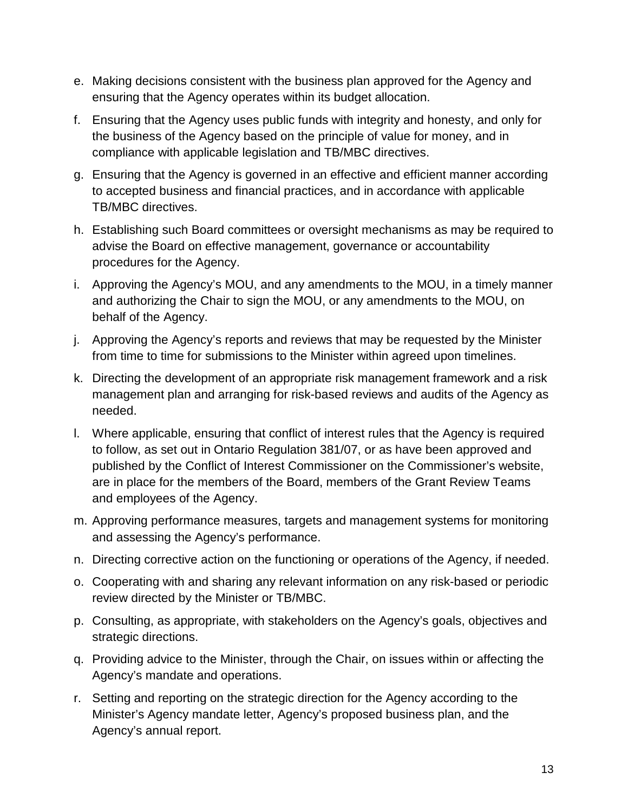- e. Making decisions consistent with the business plan approved for the Agency and ensuring that the Agency operates within its budget allocation.
- f. Ensuring that the Agency uses public funds with integrity and honesty, and only for the business of the Agency based on the principle of value for money, and in compliance with applicable legislation and TB/MBC directives.
- g. Ensuring that the Agency is governed in an effective and efficient manner according to accepted business and financial practices, and in accordance with applicable TB/MBC directives.
- h. Establishing such Board committees or oversight mechanisms as may be required to advise the Board on effective management, governance or accountability procedures for the Agency.
- i. Approving the Agency's MOU, and any amendments to the MOU, in a timely manner and authorizing the Chair to sign the MOU, or any amendments to the MOU, on behalf of the Agency.
- j. Approving the Agency's reports and reviews that may be requested by the Minister from time to time for submissions to the Minister within agreed upon timelines.
- k. Directing the development of an appropriate risk management framework and a risk management plan and arranging for risk-based reviews and audits of the Agency as needed.
- l. Where applicable, ensuring that conflict of interest rules that the Agency is required to follow, as set out in Ontario Regulation 381/07, or as have been approved and published by the Conflict of Interest Commissioner on the Commissioner's website, are in place for the members of the Board, members of the Grant Review Teams and employees of the Agency.
- m. Approving performance measures, targets and management systems for monitoring and assessing the Agency's performance.
- n. Directing corrective action on the functioning or operations of the Agency, if needed.
- o. Cooperating with and sharing any relevant information on any risk-based or periodic review directed by the Minister or TB/MBC.
- p. Consulting, as appropriate, with stakeholders on the Agency's goals, objectives and strategic directions.
- q. Providing advice to the Minister, through the Chair, on issues within or affecting the Agency's mandate and operations.
- r. Setting and reporting on the strategic direction for the Agency according to the Minister's Agency mandate letter, Agency's proposed business plan, and the Agency's annual report.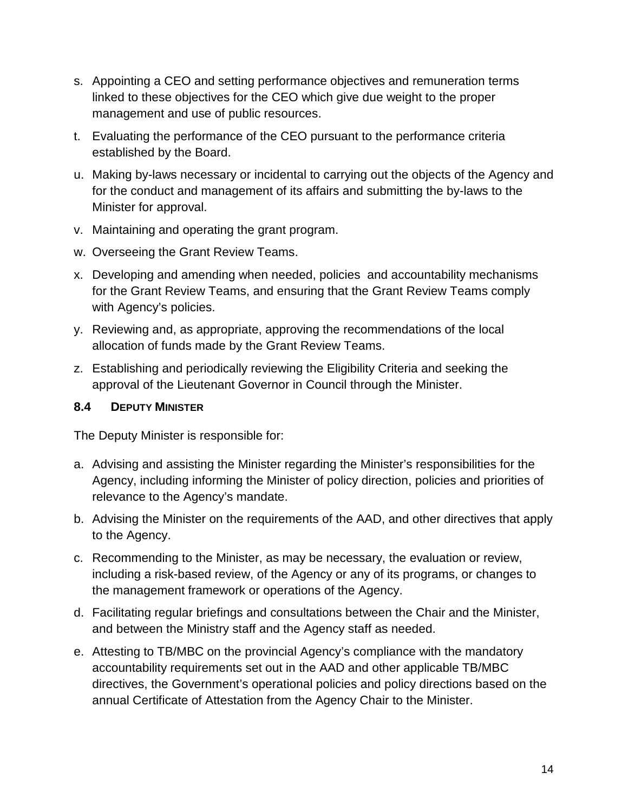- s. Appointing a CEO and setting performance objectives and remuneration terms linked to these objectives for the CEO which give due weight to the proper management and use of public resources.
- t. Evaluating the performance of the CEO pursuant to the performance criteria established by the Board.
- u. Making by-laws necessary or incidental to carrying out the objects of the Agency and for the conduct and management of its affairs and submitting the by-laws to the Minister for approval.
- v. Maintaining and operating the grant program.
- w. Overseeing the Grant Review Teams.
- x. Developing and amending when needed, policies and accountability mechanisms for the Grant Review Teams, and ensuring that the Grant Review Teams comply with Agency's policies.
- y. Reviewing and, as appropriate, approving the recommendations of the local allocation of funds made by the Grant Review Teams.
- z. Establishing and periodically reviewing the Eligibility Criteria and seeking the approval of the Lieutenant Governor in Council through the Minister.

#### <span id="page-13-0"></span>**8.4 DEPUTY MINISTER**

The Deputy Minister is responsible for:

- a. Advising and assisting the Minister regarding the Minister's responsibilities for the Agency, including informing the Minister of policy direction, policies and priorities of relevance to the Agency's mandate.
- b. Advising the Minister on the requirements of the AAD, and other directives that apply to the Agency.
- c. Recommending to the Minister, as may be necessary, the evaluation or review, including a risk-based review, of the Agency or any of its programs, or changes to the management framework or operations of the Agency.
- d. Facilitating regular briefings and consultations between the Chair and the Minister, and between the Ministry staff and the Agency staff as needed.
- e. Attesting to TB/MBC on the provincial Agency's compliance with the mandatory accountability requirements set out in the AAD and other applicable TB/MBC directives, the Government's operational policies and policy directions based on the annual Certificate of Attestation from the Agency Chair to the Minister.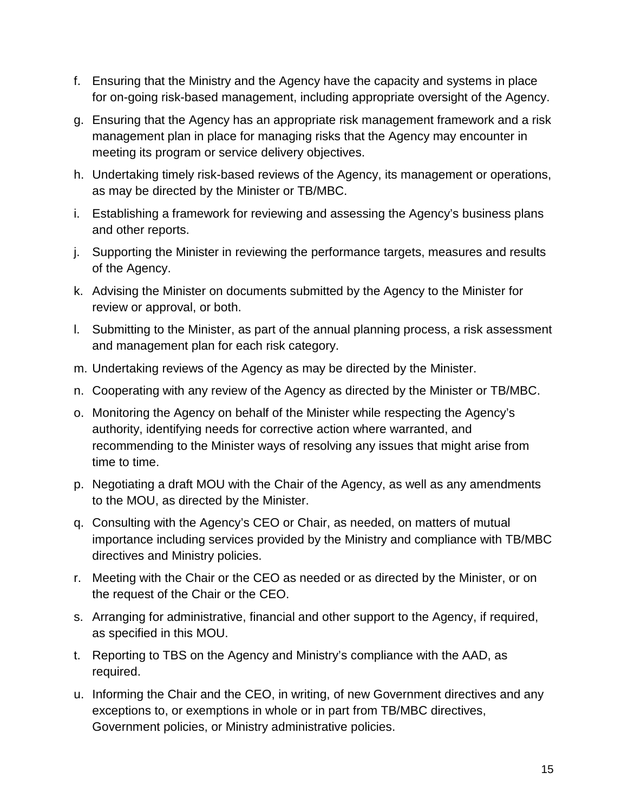- f. Ensuring that the Ministry and the Agency have the capacity and systems in place for on-going risk-based management, including appropriate oversight of the Agency.
- g. Ensuring that the Agency has an appropriate risk management framework and a risk management plan in place for managing risks that the Agency may encounter in meeting its program or service delivery objectives.
- h. Undertaking timely risk-based reviews of the Agency, its management or operations, as may be directed by the Minister or TB/MBC.
- i. Establishing a framework for reviewing and assessing the Agency's business plans and other reports.
- j. Supporting the Minister in reviewing the performance targets, measures and results of the Agency.
- k. Advising the Minister on documents submitted by the Agency to the Minister for review or approval, or both.
- l. Submitting to the Minister, as part of the annual planning process, a risk assessment and management plan for each risk category.
- m. Undertaking reviews of the Agency as may be directed by the Minister.
- n. Cooperating with any review of the Agency as directed by the Minister or TB/MBC.
- o. Monitoring the Agency on behalf of the Minister while respecting the Agency's authority, identifying needs for corrective action where warranted, and recommending to the Minister ways of resolving any issues that might arise from time to time.
- p. Negotiating a draft MOU with the Chair of the Agency, as well as any amendments to the MOU, as directed by the Minister.
- q. Consulting with the Agency's CEO or Chair, as needed, on matters of mutual importance including services provided by the Ministry and compliance with TB/MBC directives and Ministry policies.
- r. Meeting with the Chair or the CEO as needed or as directed by the Minister, or on the request of the Chair or the CEO.
- s. Arranging for administrative, financial and other support to the Agency, if required, as specified in this MOU.
- t. Reporting to TBS on the Agency and Ministry's compliance with the AAD, as required.
- u. Informing the Chair and the CEO, in writing, of new Government directives and any exceptions to, or exemptions in whole or in part from TB/MBC directives, Government policies, or Ministry administrative policies.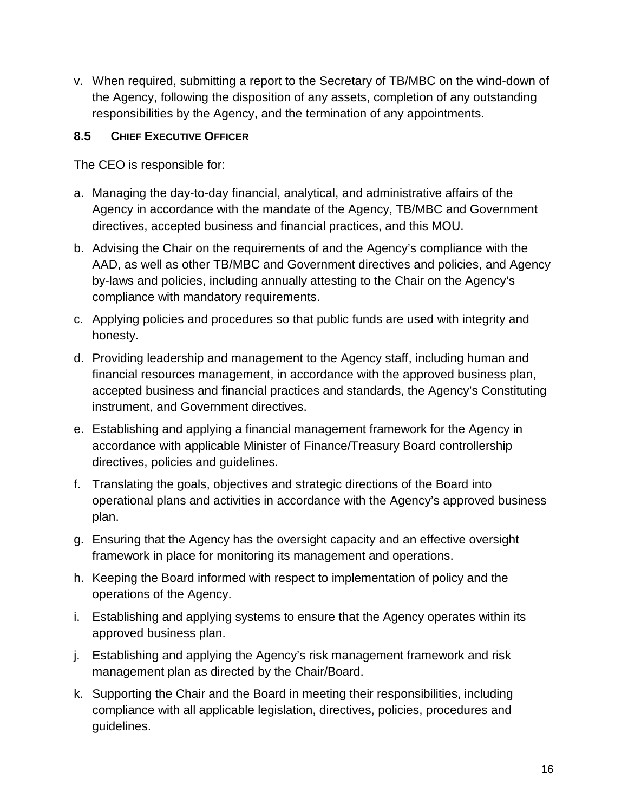v. When required, submitting a report to the Secretary of TB/MBC on the wind-down of the Agency, following the disposition of any assets, completion of any outstanding responsibilities by the Agency, and the termination of any appointments.

#### <span id="page-15-0"></span>**8.5 CHIEF EXECUTIVE OFFICER**

The CEO is responsible for:

- a. Managing the day-to-day financial, analytical, and administrative affairs of the Agency in accordance with the mandate of the Agency, TB/MBC and Government directives, accepted business and financial practices, and this MOU.
- b. Advising the Chair on the requirements of and the Agency's compliance with the AAD, as well as other TB/MBC and Government directives and policies, and Agency by-laws and policies, including annually attesting to the Chair on the Agency's compliance with mandatory requirements.
- c. Applying policies and procedures so that public funds are used with integrity and honesty.
- d. Providing leadership and management to the Agency staff, including human and financial resources management, in accordance with the approved business plan, accepted business and financial practices and standards, the Agency's Constituting instrument, and Government directives.
- e. Establishing and applying a financial management framework for the Agency in accordance with applicable Minister of Finance/Treasury Board controllership directives, policies and guidelines.
- f. Translating the goals, objectives and strategic directions of the Board into operational plans and activities in accordance with the Agency's approved business plan.
- g. Ensuring that the Agency has the oversight capacity and an effective oversight framework in place for monitoring its management and operations.
- h. Keeping the Board informed with respect to implementation of policy and the operations of the Agency.
- i. Establishing and applying systems to ensure that the Agency operates within its approved business plan.
- j. Establishing and applying the Agency's risk management framework and risk management plan as directed by the Chair/Board.
- k. Supporting the Chair and the Board in meeting their responsibilities, including compliance with all applicable legislation, directives, policies, procedures and guidelines.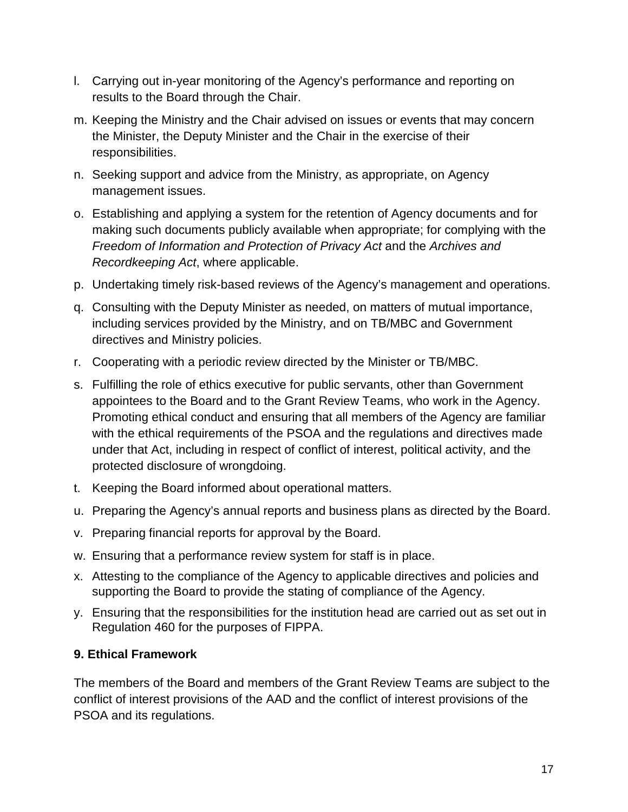- l. Carrying out in-year monitoring of the Agency's performance and reporting on results to the Board through the Chair.
- m. Keeping the Ministry and the Chair advised on issues or events that may concern the Minister, the Deputy Minister and the Chair in the exercise of their responsibilities.
- n. Seeking support and advice from the Ministry, as appropriate, on Agency management issues.
- o. Establishing and applying a system for the retention of Agency documents and for making such documents publicly available when appropriate; for complying with the *Freedom of Information and Protection of Privacy Act* and the *Archives and Recordkeeping Act*, where applicable.
- p. Undertaking timely risk-based reviews of the Agency's management and operations.
- q. Consulting with the Deputy Minister as needed, on matters of mutual importance, including services provided by the Ministry, and on TB/MBC and Government directives and Ministry policies.
- r. Cooperating with a periodic review directed by the Minister or TB/MBC.
- s. Fulfilling the role of ethics executive for public servants, other than Government appointees to the Board and to the Grant Review Teams, who work in the Agency. Promoting ethical conduct and ensuring that all members of the Agency are familiar with the ethical requirements of the PSOA and the regulations and directives made under that Act, including in respect of conflict of interest, political activity, and the protected disclosure of wrongdoing.
- t. Keeping the Board informed about operational matters.
- u. Preparing the Agency's annual reports and business plans as directed by the Board.
- v. Preparing financial reports for approval by the Board.
- w. Ensuring that a performance review system for staff is in place.
- x. Attesting to the compliance of the Agency to applicable directives and policies and supporting the Board to provide the stating of compliance of the Agency.
- y. Ensuring that the responsibilities for the institution head are carried out as set out in Regulation 460 for the purposes of FIPPA.

#### <span id="page-16-0"></span>**9. Ethical Framework**

The members of the Board and members of the Grant Review Teams are subject to the conflict of interest provisions of the AAD and the conflict of interest provisions of the PSOA and its regulations.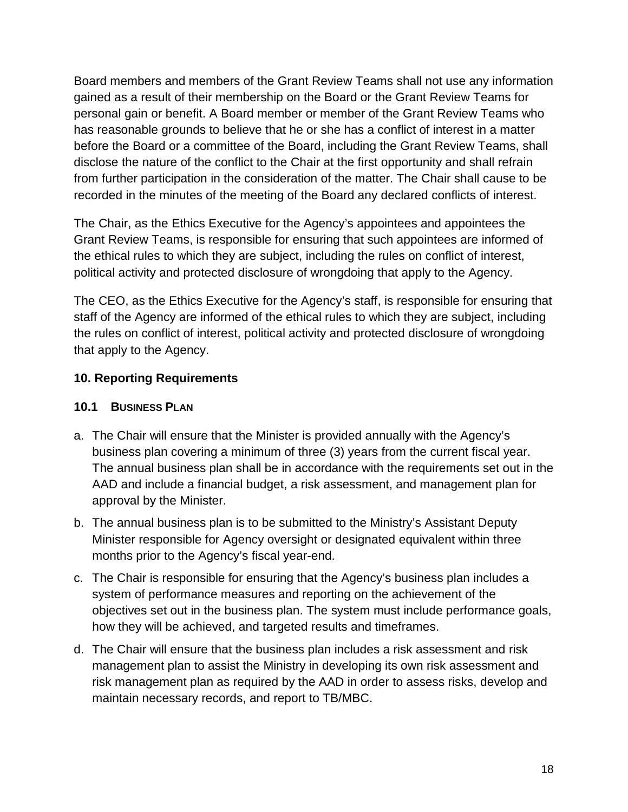Board members and members of the Grant Review Teams shall not use any information gained as a result of their membership on the Board or the Grant Review Teams for personal gain or benefit. A Board member or member of the Grant Review Teams who has reasonable grounds to believe that he or she has a conflict of interest in a matter before the Board or a committee of the Board, including the Grant Review Teams, shall disclose the nature of the conflict to the Chair at the first opportunity and shall refrain from further participation in the consideration of the matter. The Chair shall cause to be recorded in the minutes of the meeting of the Board any declared conflicts of interest.

The Chair, as the Ethics Executive for the Agency's appointees and appointees the Grant Review Teams, is responsible for ensuring that such appointees are informed of the ethical rules to which they are subject, including the rules on conflict of interest, political activity and protected disclosure of wrongdoing that apply to the Agency.

The CEO, as the Ethics Executive for the Agency's staff, is responsible for ensuring that staff of the Agency are informed of the ethical rules to which they are subject, including the rules on conflict of interest, political activity and protected disclosure of wrongdoing that apply to the Agency.

### <span id="page-17-0"></span>**10. Reporting Requirements**

#### <span id="page-17-1"></span>**10.1 BUSINESS PLAN**

- a. The Chair will ensure that the Minister is provided annually with the Agency's business plan covering a minimum of three (3) years from the current fiscal year. The annual business plan shall be in accordance with the requirements set out in the AAD and include a financial budget, a risk assessment, and management plan for approval by the Minister.
- b. The annual business plan is to be submitted to the Ministry's Assistant Deputy Minister responsible for Agency oversight or designated equivalent within three months prior to the Agency's fiscal year-end.
- c. The Chair is responsible for ensuring that the Agency's business plan includes a system of performance measures and reporting on the achievement of the objectives set out in the business plan. The system must include performance goals, how they will be achieved, and targeted results and timeframes.
- d. The Chair will ensure that the business plan includes a risk assessment and risk management plan to assist the Ministry in developing its own risk assessment and risk management plan as required by the AAD in order to assess risks, develop and maintain necessary records, and report to TB/MBC.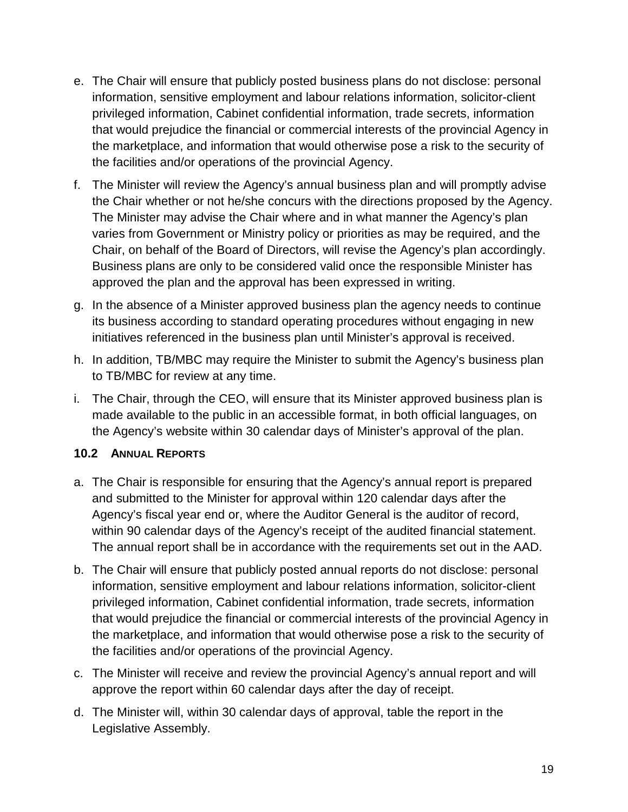- e. The Chair will ensure that publicly posted business plans do not disclose: personal information, sensitive employment and labour relations information, solicitor-client privileged information, Cabinet confidential information, trade secrets, information that would prejudice the financial or commercial interests of the provincial Agency in the marketplace, and information that would otherwise pose a risk to the security of the facilities and/or operations of the provincial Agency.
- f. The Minister will review the Agency's annual business plan and will promptly advise the Chair whether or not he/she concurs with the directions proposed by the Agency. The Minister may advise the Chair where and in what manner the Agency's plan varies from Government or Ministry policy or priorities as may be required, and the Chair, on behalf of the Board of Directors, will revise the Agency's plan accordingly. Business plans are only to be considered valid once the responsible Minister has approved the plan and the approval has been expressed in writing.
- g. In the absence of a Minister approved business plan the agency needs to continue its business according to standard operating procedures without engaging in new initiatives referenced in the business plan until Minister's approval is received.
- h. In addition, TB/MBC may require the Minister to submit the Agency's business plan to TB/MBC for review at any time.
- i. The Chair, through the CEO, will ensure that its Minister approved business plan is made available to the public in an accessible format, in both official languages, on the Agency's website within 30 calendar days of Minister's approval of the plan.

#### <span id="page-18-0"></span>**10.2 ANNUAL REPORTS**

- a. The Chair is responsible for ensuring that the Agency's annual report is prepared and submitted to the Minister for approval within 120 calendar days after the Agency's fiscal year end or, where the Auditor General is the auditor of record, within 90 calendar days of the Agency's receipt of the audited financial statement. The annual report shall be in accordance with the requirements set out in the AAD.
- b. The Chair will ensure that publicly posted annual reports do not disclose: personal information, sensitive employment and labour relations information, solicitor-client privileged information, Cabinet confidential information, trade secrets, information that would prejudice the financial or commercial interests of the provincial Agency in the marketplace, and information that would otherwise pose a risk to the security of the facilities and/or operations of the provincial Agency.
- c. The Minister will receive and review the provincial Agency's annual report and will approve the report within 60 calendar days after the day of receipt.
- d. The Minister will, within 30 calendar days of approval, table the report in the Legislative Assembly.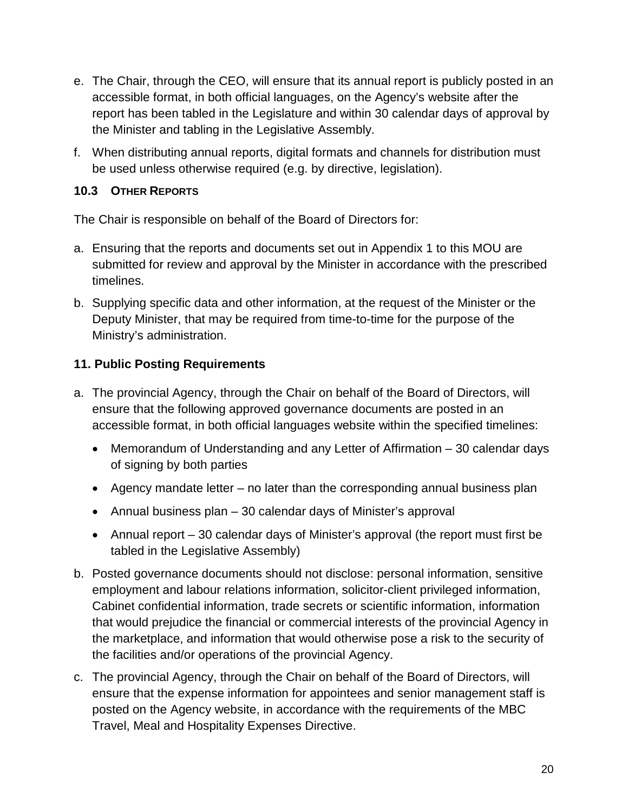- e. The Chair, through the CEO, will ensure that its annual report is publicly posted in an accessible format, in both official languages, on the Agency's website after the report has been tabled in the Legislature and within 30 calendar days of approval by the Minister and tabling in the Legislative Assembly.
- f. When distributing annual reports, digital formats and channels for distribution must be used unless otherwise required (e.g. by directive, legislation).

### <span id="page-19-0"></span>**10.3 OTHER REPORTS**

The Chair is responsible on behalf of the Board of Directors for:

- a. Ensuring that the reports and documents set out in Appendix 1 to this MOU are submitted for review and approval by the Minister in accordance with the prescribed timelines.
- b. Supplying specific data and other information, at the request of the Minister or the Deputy Minister, that may be required from time-to-time for the purpose of the Ministry's administration.

### <span id="page-19-1"></span>**11. Public Posting Requirements**

- a. The provincial Agency, through the Chair on behalf of the Board of Directors, will ensure that the following approved governance documents are posted in an accessible format, in both official languages website within the specified timelines:
	- Memorandum of Understanding and any Letter of Affirmation 30 calendar days of signing by both parties
	- Agency mandate letter no later than the corresponding annual business plan
	- Annual business plan 30 calendar days of Minister's approval
	- Annual report 30 calendar days of Minister's approval (the report must first be tabled in the Legislative Assembly)
- b. Posted governance documents should not disclose: personal information, sensitive employment and labour relations information, solicitor-client privileged information, Cabinet confidential information, trade secrets or scientific information, information that would prejudice the financial or commercial interests of the provincial Agency in the marketplace, and information that would otherwise pose a risk to the security of the facilities and/or operations of the provincial Agency.
- c. The provincial Agency, through the Chair on behalf of the Board of Directors, will ensure that the expense information for appointees and senior management staff is posted on the Agency website, in accordance with the requirements of the MBC Travel, Meal and Hospitality Expenses Directive.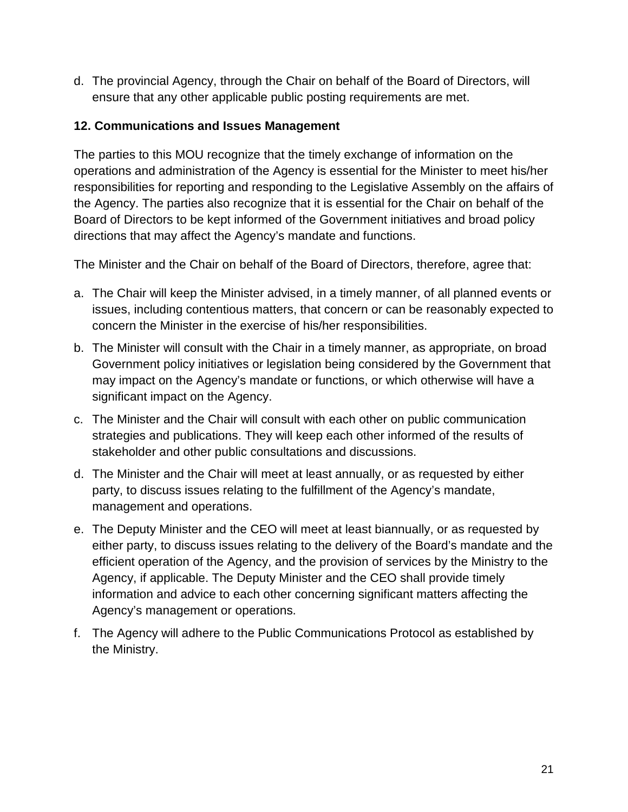d. The provincial Agency, through the Chair on behalf of the Board of Directors, will ensure that any other applicable public posting requirements are met.

#### <span id="page-20-0"></span>**12. Communications and Issues Management**

The parties to this MOU recognize that the timely exchange of information on the operations and administration of the Agency is essential for the Minister to meet his/her responsibilities for reporting and responding to the Legislative Assembly on the affairs of the Agency. The parties also recognize that it is essential for the Chair on behalf of the Board of Directors to be kept informed of the Government initiatives and broad policy directions that may affect the Agency's mandate and functions.

The Minister and the Chair on behalf of the Board of Directors, therefore, agree that:

- a. The Chair will keep the Minister advised, in a timely manner, of all planned events or issues, including contentious matters, that concern or can be reasonably expected to concern the Minister in the exercise of his/her responsibilities.
- b. The Minister will consult with the Chair in a timely manner, as appropriate, on broad Government policy initiatives or legislation being considered by the Government that may impact on the Agency's mandate or functions, or which otherwise will have a significant impact on the Agency.
- c. The Minister and the Chair will consult with each other on public communication strategies and publications. They will keep each other informed of the results of stakeholder and other public consultations and discussions.
- d. The Minister and the Chair will meet at least annually, or as requested by either party, to discuss issues relating to the fulfillment of the Agency's mandate, management and operations.
- e. The Deputy Minister and the CEO will meet at least biannually, or as requested by either party, to discuss issues relating to the delivery of the Board's mandate and the efficient operation of the Agency, and the provision of services by the Ministry to the Agency, if applicable. The Deputy Minister and the CEO shall provide timely information and advice to each other concerning significant matters affecting the Agency's management or operations.
- f. The Agency will adhere to the Public Communications Protocol as established by the Ministry.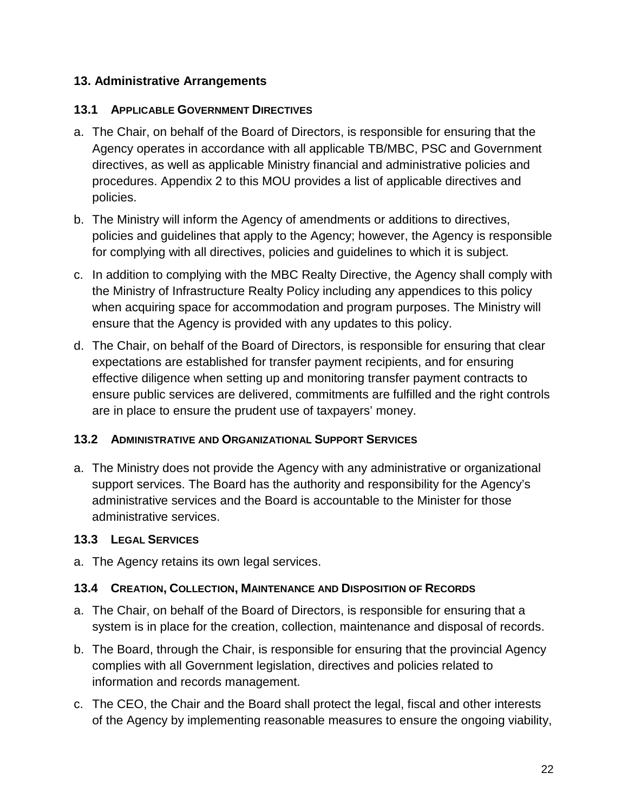#### <span id="page-21-0"></span>**13. Administrative Arrangements**

#### <span id="page-21-1"></span>**13.1 APPLICABLE GOVERNMENT DIRECTIVES**

- a. The Chair, on behalf of the Board of Directors, is responsible for ensuring that the Agency operates in accordance with all applicable TB/MBC, PSC and Government directives, as well as applicable Ministry financial and administrative policies and procedures. Appendix 2 to this MOU provides a list of applicable directives and policies.
- b. The Ministry will inform the Agency of amendments or additions to directives, policies and guidelines that apply to the Agency; however, the Agency is responsible for complying with all directives, policies and guidelines to which it is subject.
- c. In addition to complying with the MBC Realty Directive, the Agency shall comply with the Ministry of Infrastructure Realty Policy including any appendices to this policy when acquiring space for accommodation and program purposes. The Ministry will ensure that the Agency is provided with any updates to this policy.
- d. The Chair, on behalf of the Board of Directors, is responsible for ensuring that clear expectations are established for transfer payment recipients, and for ensuring effective diligence when setting up and monitoring transfer payment contracts to ensure public services are delivered, commitments are fulfilled and the right controls are in place to ensure the prudent use of taxpayers' money.

#### <span id="page-21-2"></span>**13.2 ADMINISTRATIVE AND ORGANIZATIONAL SUPPORT SERVICES**

a. The Ministry does not provide the Agency with any administrative or organizational support services. The Board has the authority and responsibility for the Agency's administrative services and the Board is accountable to the Minister for those administrative services.

#### <span id="page-21-3"></span>**13.3 LEGAL SERVICES**

a. The Agency retains its own legal services.

#### <span id="page-21-4"></span>**13.4 CREATION, COLLECTION, MAINTENANCE AND DISPOSITION OF RECORDS**

- a. The Chair, on behalf of the Board of Directors, is responsible for ensuring that a system is in place for the creation, collection, maintenance and disposal of records.
- b. The Board, through the Chair, is responsible for ensuring that the provincial Agency complies with all Government legislation, directives and policies related to information and records management.
- c. The CEO, the Chair and the Board shall protect the legal, fiscal and other interests of the Agency by implementing reasonable measures to ensure the ongoing viability,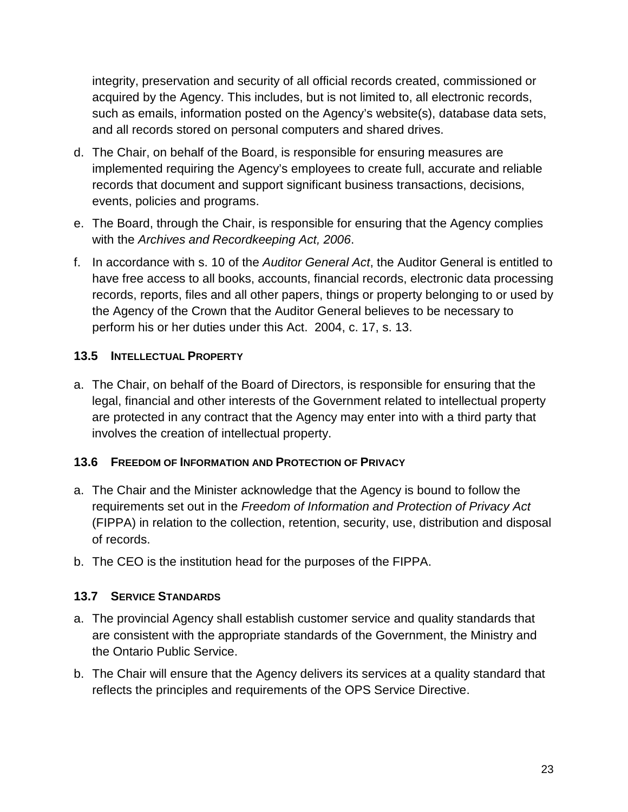integrity, preservation and security of all official records created, commissioned or acquired by the Agency. This includes, but is not limited to, all electronic records, such as emails, information posted on the Agency's website(s), database data sets, and all records stored on personal computers and shared drives.

- d. The Chair, on behalf of the Board, is responsible for ensuring measures are implemented requiring the Agency's employees to create full, accurate and reliable records that document and support significant business transactions, decisions, events, policies and programs.
- e. The Board, through the Chair, is responsible for ensuring that the Agency complies with the *Archives and Recordkeeping Act, 2006*.
- f. In accordance with s. 10 of the *Auditor General Act*, the Auditor General is entitled to have free access to all books, accounts, financial records, electronic data processing records, reports, files and all other papers, things or property belonging to or used by the Agency of the Crown that the Auditor General believes to be necessary to perform his or her duties under this Act. 2004, c. 17, s. 13.

### <span id="page-22-0"></span>**13.5 INTELLECTUAL PROPERTY**

a. The Chair, on behalf of the Board of Directors, is responsible for ensuring that the legal, financial and other interests of the Government related to intellectual property are protected in any contract that the Agency may enter into with a third party that involves the creation of intellectual property.

### <span id="page-22-1"></span>**13.6 FREEDOM OF INFORMATION AND PROTECTION OF PRIVACY**

- a. The Chair and the Minister acknowledge that the Agency is bound to follow the requirements set out in the *Freedom of Information and Protection of Privacy Act* (FIPPA) in relation to the collection, retention, security, use, distribution and disposal of records.
- b. The CEO is the institution head for the purposes of the FIPPA.

### <span id="page-22-2"></span>**13.7 SERVICE STANDARDS**

- a. The provincial Agency shall establish customer service and quality standards that are consistent with the appropriate standards of the Government, the Ministry and the Ontario Public Service.
- b. The Chair will ensure that the Agency delivers its services at a quality standard that reflects the principles and requirements of the OPS Service Directive.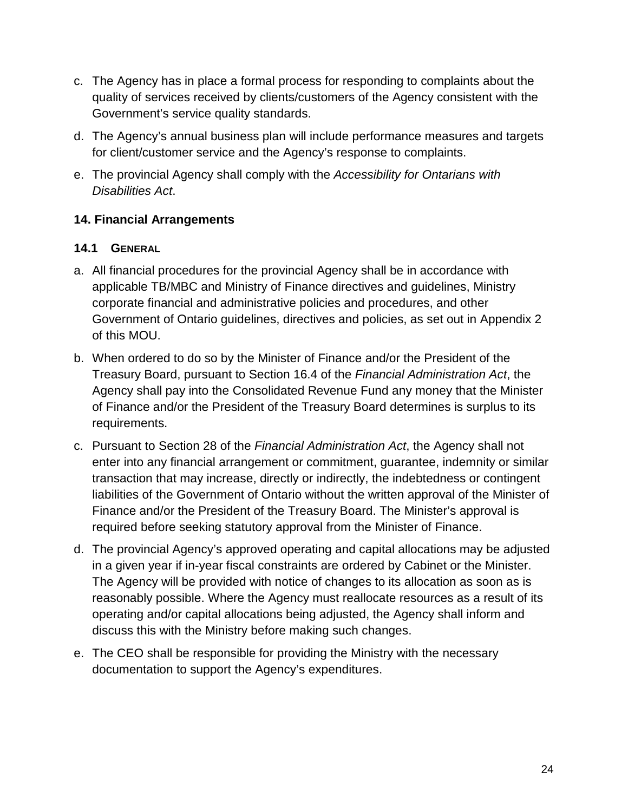- c. The Agency has in place a formal process for responding to complaints about the quality of services received by clients/customers of the Agency consistent with the Government's service quality standards.
- d. The Agency's annual business plan will include performance measures and targets for client/customer service and the Agency's response to complaints.
- e. The provincial Agency shall comply with the *Accessibility for Ontarians with Disabilities Act*.

### <span id="page-23-0"></span>**14. Financial Arrangements**

#### <span id="page-23-1"></span>**14.1 GENERAL**

- a. All financial procedures for the provincial Agency shall be in accordance with applicable TB/MBC and Ministry of Finance directives and guidelines, Ministry corporate financial and administrative policies and procedures, and other Government of Ontario guidelines, directives and policies, as set out in Appendix 2 of this MOU.
- b. When ordered to do so by the Minister of Finance and/or the President of the Treasury Board, pursuant to Section 16.4 of the *Financial Administration Act*, the Agency shall pay into the Consolidated Revenue Fund any money that the Minister of Finance and/or the President of the Treasury Board determines is surplus to its requirements.
- c. Pursuant to Section 28 of the *Financial Administration Act*, the Agency shall not enter into any financial arrangement or commitment, guarantee, indemnity or similar transaction that may increase, directly or indirectly, the indebtedness or contingent liabilities of the Government of Ontario without the written approval of the Minister of Finance and/or the President of the Treasury Board. The Minister's approval is required before seeking statutory approval from the Minister of Finance.
- d. The provincial Agency's approved operating and capital allocations may be adjusted in a given year if in-year fiscal constraints are ordered by Cabinet or the Minister. The Agency will be provided with notice of changes to its allocation as soon as is reasonably possible. Where the Agency must reallocate resources as a result of its operating and/or capital allocations being adjusted, the Agency shall inform and discuss this with the Ministry before making such changes.
- e. The CEO shall be responsible for providing the Ministry with the necessary documentation to support the Agency's expenditures.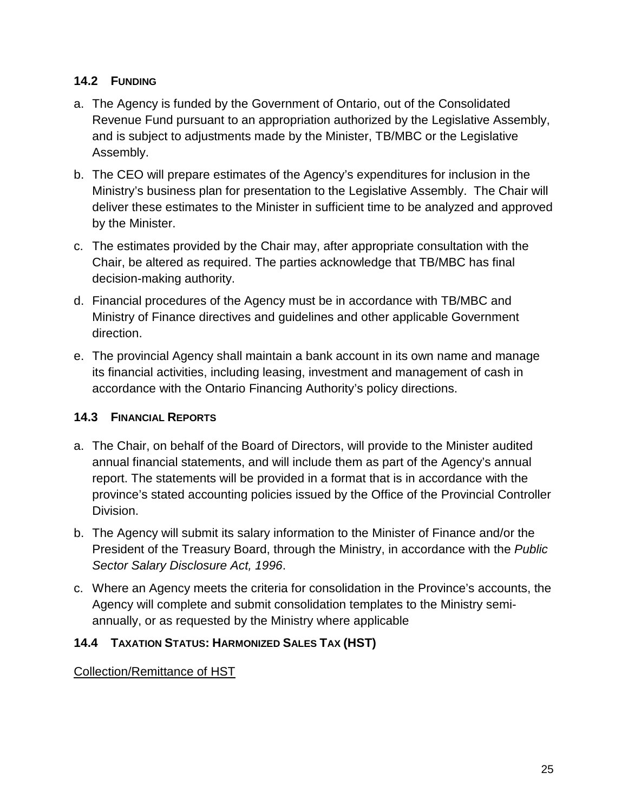### <span id="page-24-0"></span>**14.2 FUNDING**

- a. The Agency is funded by the Government of Ontario, out of the Consolidated Revenue Fund pursuant to an appropriation authorized by the Legislative Assembly, and is subject to adjustments made by the Minister, TB/MBC or the Legislative Assembly.
- b. The CEO will prepare estimates of the Agency's expenditures for inclusion in the Ministry's business plan for presentation to the Legislative Assembly. The Chair will deliver these estimates to the Minister in sufficient time to be analyzed and approved by the Minister.
- c. The estimates provided by the Chair may, after appropriate consultation with the Chair, be altered as required. The parties acknowledge that TB/MBC has final decision-making authority.
- d. Financial procedures of the Agency must be in accordance with TB/MBC and Ministry of Finance directives and guidelines and other applicable Government direction.
- e. The provincial Agency shall maintain a bank account in its own name and manage its financial activities, including leasing, investment and management of cash in accordance with the Ontario Financing Authority's policy directions.

### <span id="page-24-1"></span>**14.3 FINANCIAL REPORTS**

- a. The Chair, on behalf of the Board of Directors, will provide to the Minister audited annual financial statements, and will include them as part of the Agency's annual report. The statements will be provided in a format that is in accordance with the province's stated accounting policies issued by the Office of the Provincial Controller Division.
- b. The Agency will submit its salary information to the Minister of Finance and/or the President of the Treasury Board, through the Ministry, in accordance with the *Public Sector Salary Disclosure Act, 1996*.
- c. Where an Agency meets the criteria for consolidation in the Province's accounts, the Agency will complete and submit consolidation templates to the Ministry semiannually, or as requested by the Ministry where applicable

#### <span id="page-24-2"></span>**14.4 TAXATION STATUS: HARMONIZED SALES TAX (HST)**

Collection/Remittance of HST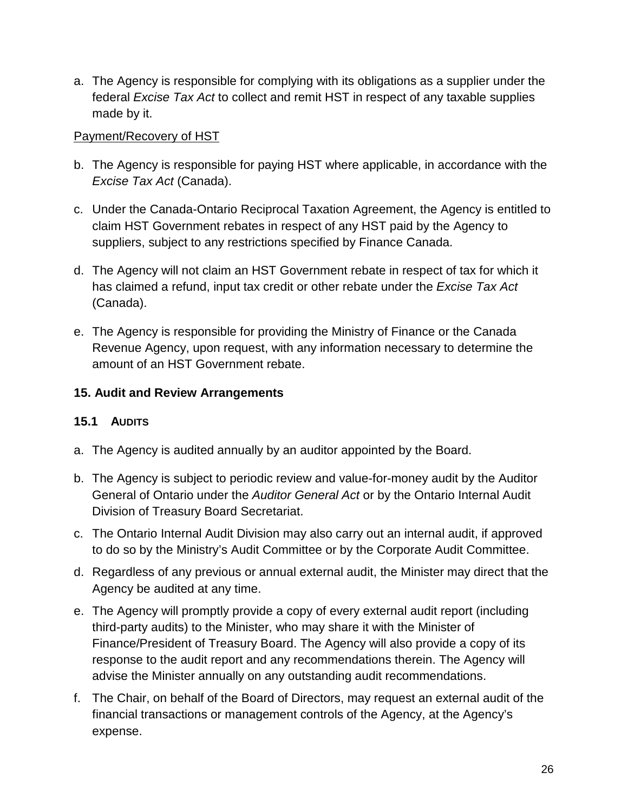a. The Agency is responsible for complying with its obligations as a supplier under the federal *Excise Tax Act* to collect and remit HST in respect of any taxable supplies made by it.

#### Payment/Recovery of HST

- b. The Agency is responsible for paying HST where applicable, in accordance with the *Excise Tax Act* (Canada).
- c. Under the Canada-Ontario Reciprocal Taxation Agreement, the Agency is entitled to claim HST Government rebates in respect of any HST paid by the Agency to suppliers, subject to any restrictions specified by Finance Canada.
- d. The Agency will not claim an HST Government rebate in respect of tax for which it has claimed a refund, input tax credit or other rebate under the *Excise Tax Act* (Canada).
- e. The Agency is responsible for providing the Ministry of Finance or the Canada Revenue Agency, upon request, with any information necessary to determine the amount of an HST Government rebate.

### <span id="page-25-0"></span>**15. Audit and Review Arrangements**

#### <span id="page-25-1"></span>**15.1 AUDITS**

- a. The Agency is audited annually by an auditor appointed by the Board.
- b. The Agency is subject to periodic review and value-for-money audit by the Auditor General of Ontario under the *Auditor General Act* or by the Ontario Internal Audit Division of Treasury Board Secretariat.
- c. The Ontario Internal Audit Division may also carry out an internal audit, if approved to do so by the Ministry's Audit Committee or by the Corporate Audit Committee.
- d. Regardless of any previous or annual external audit, the Minister may direct that the Agency be audited at any time.
- e. The Agency will promptly provide a copy of every external audit report (including third-party audits) to the Minister, who may share it with the Minister of Finance/President of Treasury Board. The Agency will also provide a copy of its response to the audit report and any recommendations therein. The Agency will advise the Minister annually on any outstanding audit recommendations.
- f. The Chair, on behalf of the Board of Directors, may request an external audit of the financial transactions or management controls of the Agency, at the Agency's expense.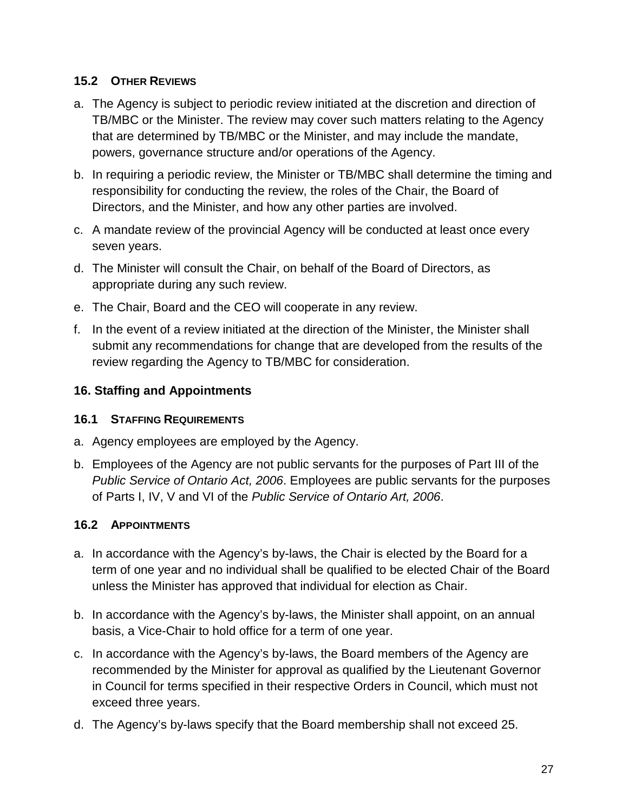#### <span id="page-26-0"></span>**15.2 OTHER REVIEWS**

- a. The Agency is subject to periodic review initiated at the discretion and direction of TB/MBC or the Minister. The review may cover such matters relating to the Agency that are determined by TB/MBC or the Minister, and may include the mandate, powers, governance structure and/or operations of the Agency.
- b. In requiring a periodic review, the Minister or TB/MBC shall determine the timing and responsibility for conducting the review, the roles of the Chair, the Board of Directors, and the Minister, and how any other parties are involved.
- c. A mandate review of the provincial Agency will be conducted at least once every seven years.
- d. The Minister will consult the Chair, on behalf of the Board of Directors, as appropriate during any such review.
- e. The Chair, Board and the CEO will cooperate in any review.
- f. In the event of a review initiated at the direction of the Minister, the Minister shall submit any recommendations for change that are developed from the results of the review regarding the Agency to TB/MBC for consideration.

### <span id="page-26-1"></span>**16. Staffing and Appointments**

#### <span id="page-26-2"></span>**16.1 STAFFING REQUIREMENTS**

- a. Agency employees are employed by the Agency.
- b. Employees of the Agency are not public servants for the purposes of Part III of the *Public Service of Ontario Act, 2006*. Employees are public servants for the purposes of Parts I, IV, V and VI of the *Public Service of Ontario Art, 2006*.

#### <span id="page-26-3"></span>**16.2 APPOINTMENTS**

- a. In accordance with the Agency's by-laws, the Chair is elected by the Board for a term of one year and no individual shall be qualified to be elected Chair of the Board unless the Minister has approved that individual for election as Chair.
- b. In accordance with the Agency's by-laws, the Minister shall appoint, on an annual basis, a Vice-Chair to hold office for a term of one year.
- c. In accordance with the Agency's by-laws, the Board members of the Agency are recommended by the Minister for approval as qualified by the Lieutenant Governor in Council for terms specified in their respective Orders in Council, which must not exceed three years.
- d. The Agency's by-laws specify that the Board membership shall not exceed 25.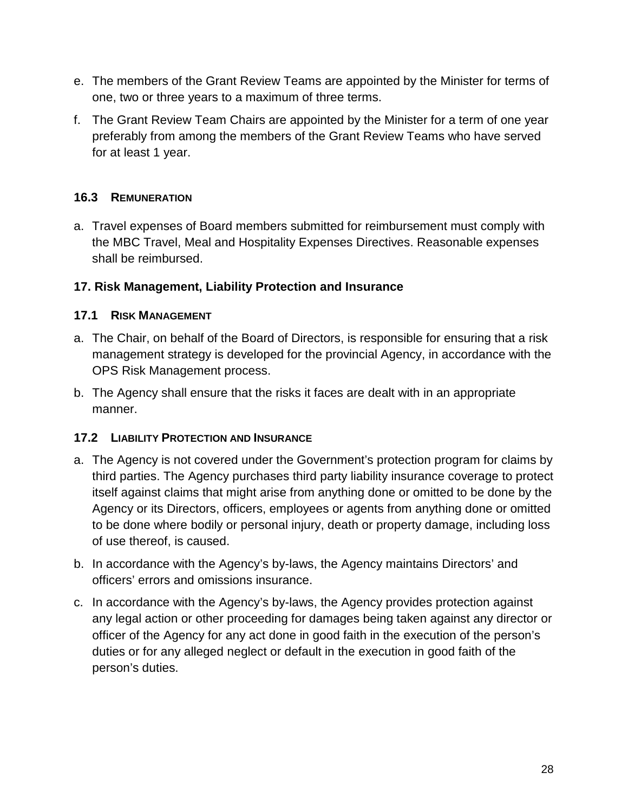- e. The members of the Grant Review Teams are appointed by the Minister for terms of one, two or three years to a maximum of three terms.
- f. The Grant Review Team Chairs are appointed by the Minister for a term of one year preferably from among the members of the Grant Review Teams who have served for at least 1 year.

### <span id="page-27-0"></span>**16.3 REMUNERATION**

a. Travel expenses of Board members submitted for reimbursement must comply with the MBC Travel, Meal and Hospitality Expenses Directives. Reasonable expenses shall be reimbursed.

### <span id="page-27-1"></span>**17. Risk Management, Liability Protection and Insurance**

### <span id="page-27-2"></span>**17.1 RISK MANAGEMENT**

- a. The Chair, on behalf of the Board of Directors, is responsible for ensuring that a risk management strategy is developed for the provincial Agency, in accordance with the OPS Risk Management process.
- b. The Agency shall ensure that the risks it faces are dealt with in an appropriate manner.

#### <span id="page-27-3"></span>**17.2 LIABILITY PROTECTION AND INSURANCE**

- a. The Agency is not covered under the Government's protection program for claims by third parties. The Agency purchases third party liability insurance coverage to protect itself against claims that might arise from anything done or omitted to be done by the Agency or its Directors, officers, employees or agents from anything done or omitted to be done where bodily or personal injury, death or property damage, including loss of use thereof, is caused.
- b. In accordance with the Agency's by-laws, the Agency maintains Directors' and officers' errors and omissions insurance.
- c. In accordance with the Agency's by-laws, the Agency provides protection against any legal action or other proceeding for damages being taken against any director or officer of the Agency for any act done in good faith in the execution of the person's duties or for any alleged neglect or default in the execution in good faith of the person's duties.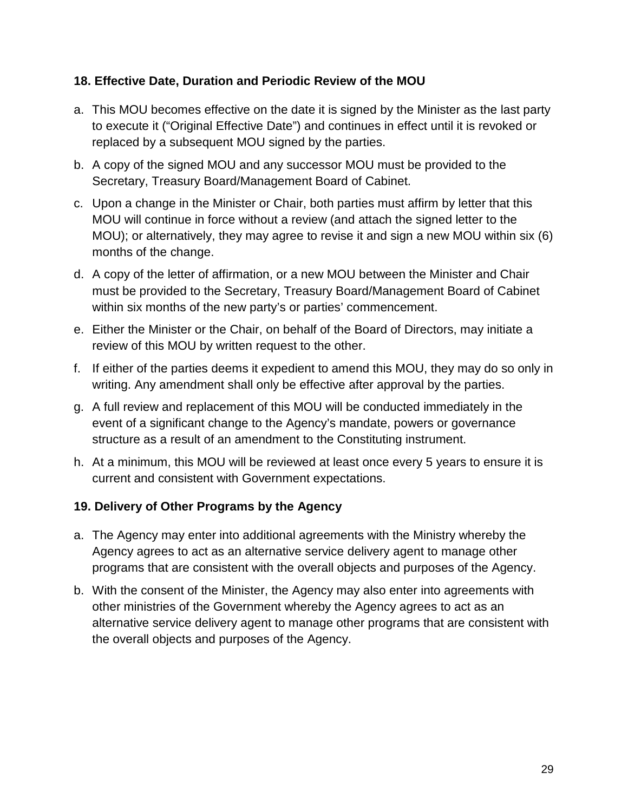#### <span id="page-28-0"></span>**18. Effective Date, Duration and Periodic Review of the MOU**

- a. This MOU becomes effective on the date it is signed by the Minister as the last party to execute it ("Original Effective Date") and continues in effect until it is revoked or replaced by a subsequent MOU signed by the parties.
- b. A copy of the signed MOU and any successor MOU must be provided to the Secretary, Treasury Board/Management Board of Cabinet.
- c. Upon a change in the Minister or Chair, both parties must affirm by letter that this MOU will continue in force without a review (and attach the signed letter to the MOU); or alternatively, they may agree to revise it and sign a new MOU within six (6) months of the change.
- d. A copy of the letter of affirmation, or a new MOU between the Minister and Chair must be provided to the Secretary, Treasury Board/Management Board of Cabinet within six months of the new party's or parties' commencement.
- e. Either the Minister or the Chair, on behalf of the Board of Directors, may initiate a review of this MOU by written request to the other.
- f. If either of the parties deems it expedient to amend this MOU, they may do so only in writing. Any amendment shall only be effective after approval by the parties.
- g. A full review and replacement of this MOU will be conducted immediately in the event of a significant change to the Agency's mandate, powers or governance structure as a result of an amendment to the Constituting instrument.
- h. At a minimum, this MOU will be reviewed at least once every 5 years to ensure it is current and consistent with Government expectations.

### <span id="page-28-1"></span>**19. Delivery of Other Programs by the Agency**

- a. The Agency may enter into additional agreements with the Ministry whereby the Agency agrees to act as an alternative service delivery agent to manage other programs that are consistent with the overall objects and purposes of the Agency.
- b. With the consent of the Minister, the Agency may also enter into agreements with other ministries of the Government whereby the Agency agrees to act as an alternative service delivery agent to manage other programs that are consistent with the overall objects and purposes of the Agency.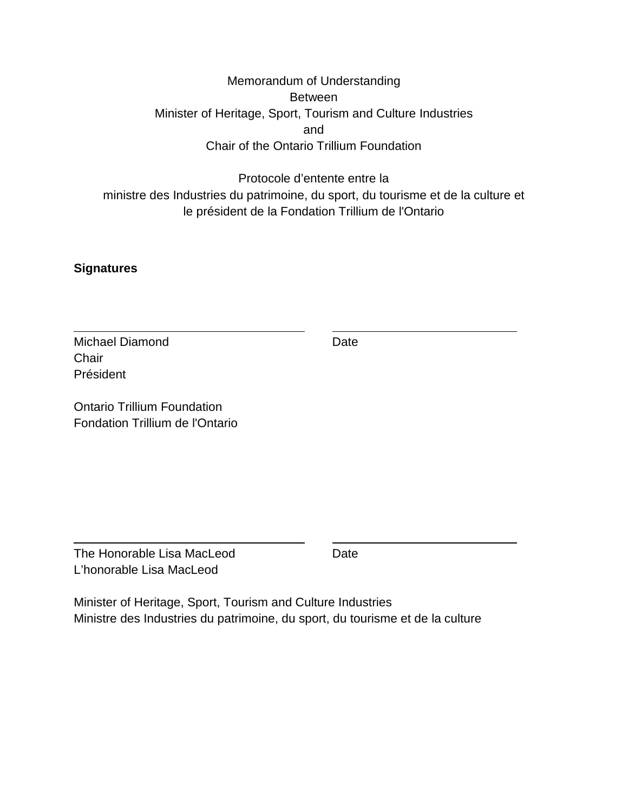### Memorandum of Understanding Between Minister of Heritage, Sport, Tourism and Culture Industries and Chair of the Ontario Trillium Foundation

### Protocole d'entente entre la ministre des Industries du patrimoine, du sport, du tourisme et de la culture et le président de la Fondation Trillium de l'Ontario

#### <span id="page-29-0"></span>**Signatures**

Michael Diamond Date Date **Chair** Président

Ontario Trillium Foundation Fondation Trillium de l'Ontario

The Honorable Lisa MacLeod Date L'honorable Lisa MacLeod

Minister of Heritage, Sport, Tourism and Culture Industries Ministre des Industries du patrimoine, du sport, du tourisme et de la culture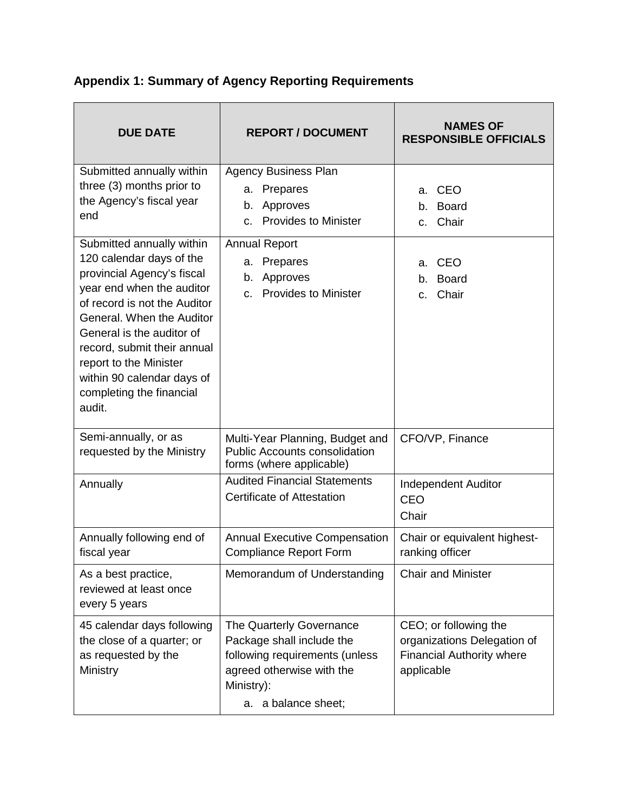| <b>DUE DATE</b>                                                                                                                                                                                                                                                                                                                         | <b>REPORT / DOCUMENT</b>                                                                                                                                  | <b>NAMES OF</b><br><b>RESPONSIBLE OFFICIALS</b>                                                        |  |
|-----------------------------------------------------------------------------------------------------------------------------------------------------------------------------------------------------------------------------------------------------------------------------------------------------------------------------------------|-----------------------------------------------------------------------------------------------------------------------------------------------------------|--------------------------------------------------------------------------------------------------------|--|
| Submitted annually within<br>three (3) months prior to<br>the Agency's fiscal year<br>end                                                                                                                                                                                                                                               | <b>Agency Business Plan</b><br>a. Prepares<br>b. Approves<br><b>Provides to Minister</b><br>$\mathbf{C}$                                                  | <b>CEO</b><br>a.<br>b. Board<br>Chair<br>$\mathsf{C}$ .                                                |  |
| Submitted annually within<br>120 calendar days of the<br>provincial Agency's fiscal<br>year end when the auditor<br>of record is not the Auditor<br>General. When the Auditor<br>General is the auditor of<br>record, submit their annual<br>report to the Minister<br>within 90 calendar days of<br>completing the financial<br>audit. | <b>Annual Report</b><br>a. Prepares<br>b. Approves<br><b>Provides to Minister</b><br>C.                                                                   | CEO<br>a.<br><b>Board</b><br>b.<br>Chair<br>C.                                                         |  |
| Semi-annually, or as<br>requested by the Ministry                                                                                                                                                                                                                                                                                       | Multi-Year Planning, Budget and<br><b>Public Accounts consolidation</b><br>forms (where applicable)                                                       | CFO/VP, Finance                                                                                        |  |
| Annually                                                                                                                                                                                                                                                                                                                                | <b>Audited Financial Statements</b><br><b>Certificate of Attestation</b>                                                                                  | Independent Auditor<br>CEO<br>Chair                                                                    |  |
| Annually following end of<br>fiscal year                                                                                                                                                                                                                                                                                                | <b>Annual Executive Compensation</b><br><b>Compliance Report Form</b>                                                                                     | Chair or equivalent highest-<br>ranking officer                                                        |  |
| As a best practice,<br>reviewed at least once<br>every 5 years                                                                                                                                                                                                                                                                          | Memorandum of Understanding                                                                                                                               | <b>Chair and Minister</b>                                                                              |  |
| 45 calendar days following<br>the close of a quarter; or<br>as requested by the<br>Ministry                                                                                                                                                                                                                                             | The Quarterly Governance<br>Package shall include the<br>following requirements (unless<br>agreed otherwise with the<br>Ministry):<br>a. a balance sheet; | CEO; or following the<br>organizations Delegation of<br><b>Financial Authority where</b><br>applicable |  |

# <span id="page-30-0"></span>**Appendix 1: Summary of Agency Reporting Requirements**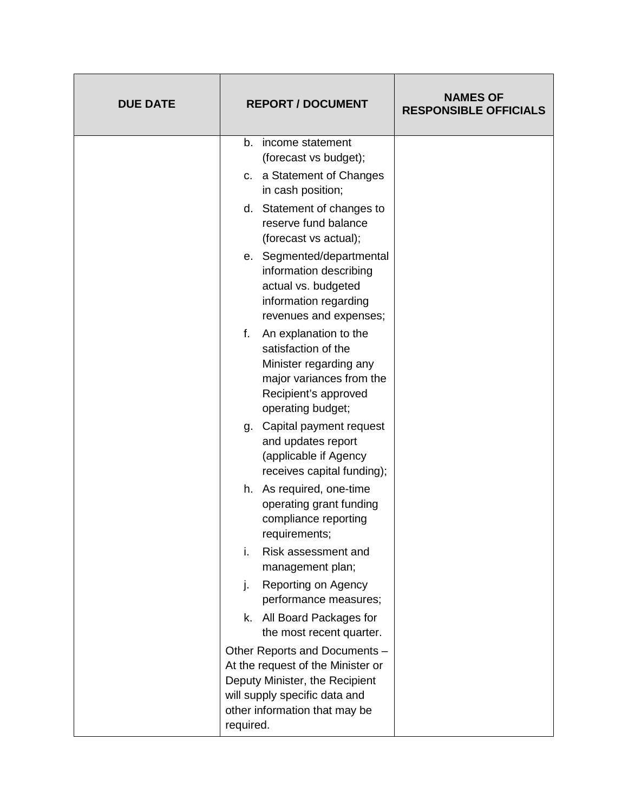| <b>DUE DATE</b> | <b>REPORT / DOCUMENT</b>                                                                                                                                                            | <b>NAMES OF</b><br><b>RESPONSIBLE OFFICIALS</b> |
|-----------------|-------------------------------------------------------------------------------------------------------------------------------------------------------------------------------------|-------------------------------------------------|
|                 | income statement<br>b.<br>(forecast vs budget);                                                                                                                                     |                                                 |
|                 | c. a Statement of Changes<br>in cash position;                                                                                                                                      |                                                 |
|                 | d. Statement of changes to<br>reserve fund balance<br>(forecast vs actual);                                                                                                         |                                                 |
|                 | e. Segmented/departmental<br>information describing<br>actual vs. budgeted<br>information regarding<br>revenues and expenses;                                                       |                                                 |
|                 | f.<br>An explanation to the<br>satisfaction of the<br>Minister regarding any<br>major variances from the<br>Recipient's approved<br>operating budget;                               |                                                 |
|                 | g. Capital payment request<br>and updates report<br>(applicable if Agency<br>receives capital funding);                                                                             |                                                 |
|                 | h. As required, one-time<br>operating grant funding<br>compliance reporting<br>requirements;                                                                                        |                                                 |
|                 | i.<br>Risk assessment and<br>management plan;                                                                                                                                       |                                                 |
|                 | Reporting on Agency<br>j.<br>performance measures;                                                                                                                                  |                                                 |
|                 | k. All Board Packages for<br>the most recent quarter.                                                                                                                               |                                                 |
|                 | Other Reports and Documents -<br>At the request of the Minister or<br>Deputy Minister, the Recipient<br>will supply specific data and<br>other information that may be<br>required. |                                                 |